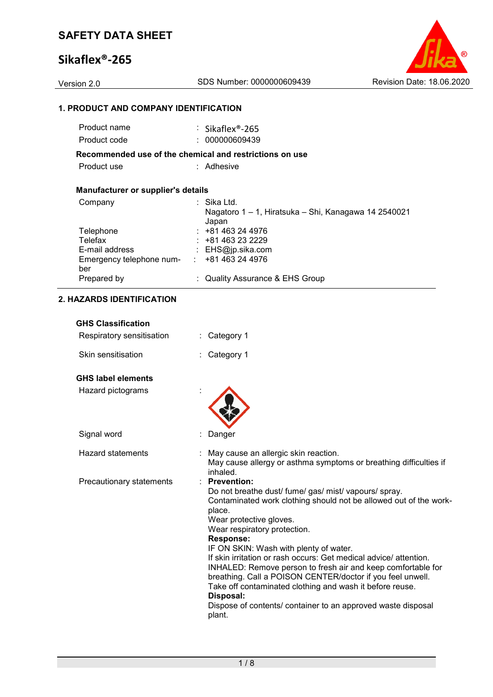# **Sikaflex®-265**

### **1. PRODUCT AND COMPANY IDENTIFICATION**

| Product name                              | : Sikaflex <sup>®</sup> -265                                  |
|-------------------------------------------|---------------------------------------------------------------|
| Product code                              | : 000000609439                                                |
|                                           | Recommended use of the chemical and restrictions on use       |
| Product use                               | : Adhesive                                                    |
| <b>Manufacturer or supplier's details</b> |                                                               |
| Company                                   | : Sika Ltd.                                                   |
|                                           | Nagatoro 1 – 1, Hiratsuka – Shi, Kanagawa 14 2540021<br>Japan |
| Telephone                                 | $: +81463244976$                                              |
| Telefax                                   | $: +81463232229$                                              |
| E-mail address                            | : $EHS@ip.sika.com$                                           |
| Emergency telephone num-<br>ber           | $\div$ +81 463 24 4976                                        |
| Prepared by                               | : Quality Assurance & EHS Group                               |

### **2. HAZARDS IDENTIFICATION**

| <b>GHS Classification</b> |                                                                                                                                                                                                                                                                                                                                                                                                                                                                                                                                                                                                                                          |
|---------------------------|------------------------------------------------------------------------------------------------------------------------------------------------------------------------------------------------------------------------------------------------------------------------------------------------------------------------------------------------------------------------------------------------------------------------------------------------------------------------------------------------------------------------------------------------------------------------------------------------------------------------------------------|
| Respiratory sensitisation | Category 1                                                                                                                                                                                                                                                                                                                                                                                                                                                                                                                                                                                                                               |
| Skin sensitisation        | Category 1                                                                                                                                                                                                                                                                                                                                                                                                                                                                                                                                                                                                                               |
| <b>GHS label elements</b> |                                                                                                                                                                                                                                                                                                                                                                                                                                                                                                                                                                                                                                          |
| Hazard pictograms         |                                                                                                                                                                                                                                                                                                                                                                                                                                                                                                                                                                                                                                          |
| Signal word               | Danger                                                                                                                                                                                                                                                                                                                                                                                                                                                                                                                                                                                                                                   |
| <b>Hazard statements</b>  | May cause an allergic skin reaction.<br>May cause allergy or asthma symptoms or breathing difficulties if<br>inhaled.                                                                                                                                                                                                                                                                                                                                                                                                                                                                                                                    |
| Precautionary statements  | <b>Prevention:</b><br>Do not breathe dust/ fume/ gas/ mist/ vapours/ spray.<br>Contaminated work clothing should not be allowed out of the work-<br>place.<br>Wear protective gloves.<br>Wear respiratory protection.<br><b>Response:</b><br>IF ON SKIN: Wash with plenty of water.<br>If skin irritation or rash occurs: Get medical advice/attention.<br>INHALED: Remove person to fresh air and keep comfortable for<br>breathing. Call a POISON CENTER/doctor if you feel unwell.<br>Take off contaminated clothing and wash it before reuse.<br>Disposal:<br>Dispose of contents/ container to an approved waste disposal<br>plant. |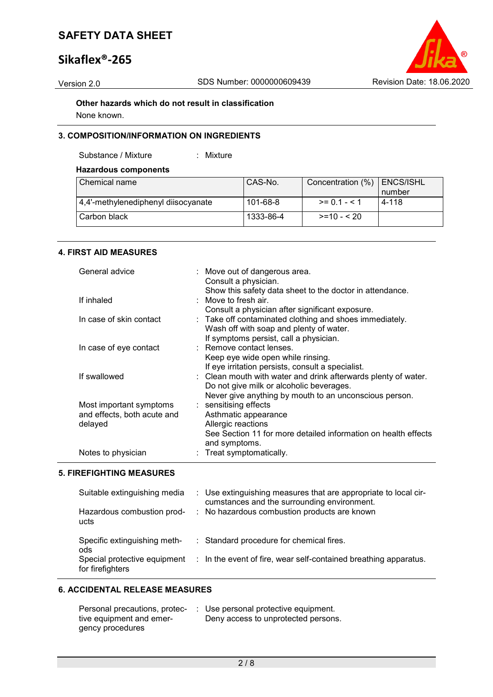# **Sikaflex®-265**



**Other hazards which do not result in classification** None known.

### **3. COMPOSITION/INFORMATION ON INGREDIENTS**

Substance / Mixture : Mixture

### **Hazardous components**

| Chemical name                       | CAS-No.   | Concentration (%)   ENCS/ISHL |          |
|-------------------------------------|-----------|-------------------------------|----------|
|                                     |           |                               | I number |
| 4,4'-methylenediphenyl diisocyanate | 101-68-8  | $>= 0.1 - 5.1$                | 4-118    |
| Carbon black                        | 1333-86-4 | $>=10 - 520$                  |          |

### **4. FIRST AID MEASURES**

| General advice              | : Move out of dangerous area.<br>Consult a physician.          |
|-----------------------------|----------------------------------------------------------------|
|                             | Show this safety data sheet to the doctor in attendance.       |
| If inhaled                  | : Move to fresh air.                                           |
|                             | Consult a physician after significant exposure.                |
| In case of skin contact     | : Take off contaminated clothing and shoes immediately.        |
|                             | Wash off with soap and plenty of water.                        |
|                             | If symptoms persist, call a physician.                         |
| In case of eye contact      | : Remove contact lenses.                                       |
|                             | Keep eye wide open while rinsing.                              |
|                             | If eye irritation persists, consult a specialist.              |
| If swallowed                | : Clean mouth with water and drink afterwards plenty of water. |
|                             | Do not give milk or alcoholic beverages.                       |
|                             | Never give anything by mouth to an unconscious person.         |
| Most important symptoms     | : sensitising effects                                          |
| and effects, both acute and | Asthmatic appearance                                           |
| delayed                     | Allergic reactions                                             |
|                             | See Section 11 for more detailed information on health effects |
|                             | and symptoms.                                                  |
| Notes to physician          | : Treat symptomatically.                                       |

#### **5. FIREFIGHTING MEASURES**

| Suitable extinguishing media                                                            | : Use extinguishing measures that are appropriate to local cir-                                                         |
|-----------------------------------------------------------------------------------------|-------------------------------------------------------------------------------------------------------------------------|
| Hazardous combustion prod-                                                              | cumstances and the surrounding environment.                                                                             |
| ucts                                                                                    | : No hazardous combustion products are known                                                                            |
| Specific extinguishing meth-<br>ods<br>Special protective equipment<br>for firefighters | : Standard procedure for chemical fires.<br>$\therefore$ In the event of fire, wear self-contained breathing apparatus. |

#### **6. ACCIDENTAL RELEASE MEASURES**

| Personal precautions, protec- | : Use personal protective equipment. |
|-------------------------------|--------------------------------------|
| tive equipment and emer-      | Deny access to unprotected persons.  |
| gency procedures              |                                      |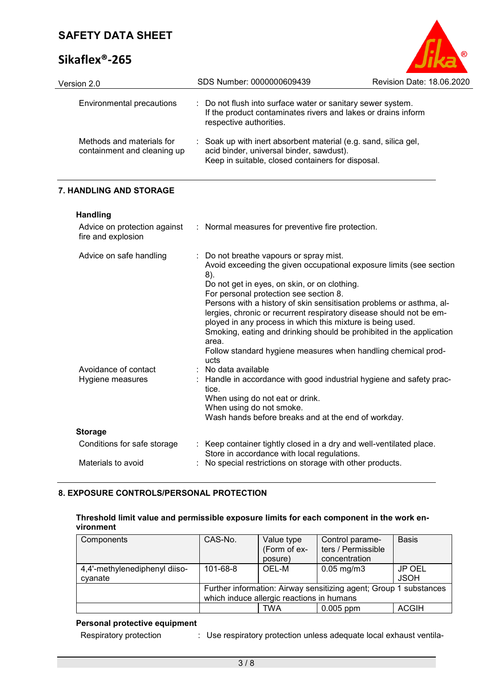# **Sikaflex®-265**



| Version 2.0                                              | SDS Number: 0000000609439                                                                                                                                        | <b>Revision Date: 18.06.2020</b> |
|----------------------------------------------------------|------------------------------------------------------------------------------------------------------------------------------------------------------------------|----------------------------------|
| Environmental precautions                                | : Do not flush into surface water or sanitary sewer system.<br>If the product contaminates rivers and lakes or drains inform<br>respective authorities.          |                                  |
| Methods and materials for<br>containment and cleaning up | : Soak up with inert absorbent material (e.g. sand, silica gel,<br>acid binder, universal binder, sawdust).<br>Keep in suitable, closed containers for disposal. |                                  |

### **7. HANDLING AND STORAGE**

**Handling**

| Advice on protection against<br>fire and explosion | : Normal measures for preventive fire protection.                                                                                                                                                                                                                                                                                                                                                                                                                                                                                                                                                                        |
|----------------------------------------------------|--------------------------------------------------------------------------------------------------------------------------------------------------------------------------------------------------------------------------------------------------------------------------------------------------------------------------------------------------------------------------------------------------------------------------------------------------------------------------------------------------------------------------------------------------------------------------------------------------------------------------|
| Advice on safe handling<br>Avoidance of contact    | : Do not breathe vapours or spray mist.<br>Avoid exceeding the given occupational exposure limits (see section<br>8).<br>Do not get in eyes, on skin, or on clothing.<br>For personal protection see section 8.<br>Persons with a history of skin sensitisation problems or asthma, al-<br>lergies, chronic or recurrent respiratory disease should not be em-<br>ployed in any process in which this mixture is being used.<br>Smoking, eating and drinking should be prohibited in the application<br>area.<br>Follow standard hygiene measures when handling chemical prod-<br>ucts<br>$\therefore$ No data available |
| Hygiene measures                                   | : Handle in accordance with good industrial hygiene and safety prac-<br>tice.<br>When using do not eat or drink.<br>When using do not smoke.<br>Wash hands before breaks and at the end of workday.                                                                                                                                                                                                                                                                                                                                                                                                                      |
| <b>Storage</b>                                     |                                                                                                                                                                                                                                                                                                                                                                                                                                                                                                                                                                                                                          |
| Conditions for safe storage                        | : Keep container tightly closed in a dry and well-ventilated place.<br>Store in accordance with local regulations.                                                                                                                                                                                                                                                                                                                                                                                                                                                                                                       |
| Materials to avoid                                 | : No special restrictions on storage with other products.                                                                                                                                                                                                                                                                                                                                                                                                                                                                                                                                                                |

### **8. EXPOSURE CONTROLS/PERSONAL PROTECTION**

### **Threshold limit value and permissible exposure limits for each component in the work environment**

| Components                    | CAS-No.                                                           | Value type   | Control parame-         | <b>Basis</b> |
|-------------------------------|-------------------------------------------------------------------|--------------|-------------------------|--------------|
|                               |                                                                   | (Form of ex- | ters / Permissible      |              |
|                               |                                                                   | posure)      | concentration           |              |
| 4,4'-methylenediphenyl diiso- | $101 - 68 - 8$                                                    | OEL-M        | $0.05 \,\mathrm{mg/m3}$ | JP OEL       |
| cyanate                       |                                                                   |              |                         | <b>JSOH</b>  |
|                               | Further information: Airway sensitizing agent; Group 1 substances |              |                         |              |
|                               | which induce allergic reactions in humans                         |              |                         |              |
|                               |                                                                   | <b>TWA</b>   | $0.005$ ppm             | <b>ACGIH</b> |

## **Personal protective equipment**

| Respiratory protection | Use respiratory protection unless adequate local exhaust ventila- |
|------------------------|-------------------------------------------------------------------|
|                        |                                                                   |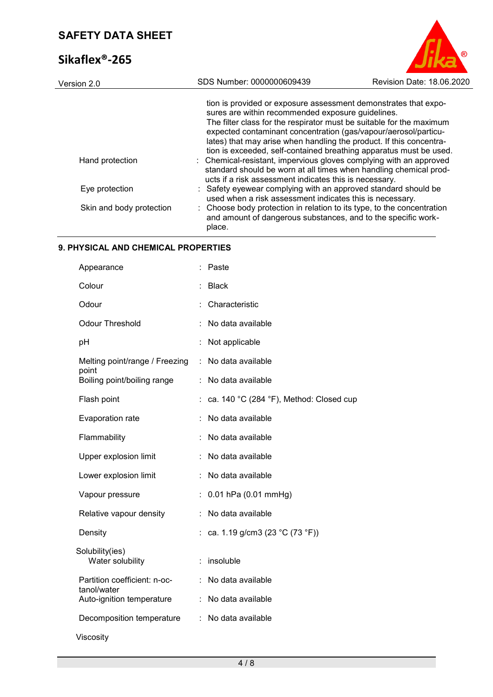# **Sikaflex®-265**



| Version 2.0              | SDS Number: 0000000609439                                                                                                                                                                                                                                                                                                                                                                                    | Revision Date: 18.06.2020 |
|--------------------------|--------------------------------------------------------------------------------------------------------------------------------------------------------------------------------------------------------------------------------------------------------------------------------------------------------------------------------------------------------------------------------------------------------------|---------------------------|
|                          | tion is provided or exposure assessment demonstrates that expo-<br>sures are within recommended exposure guidelines.<br>The filter class for the respirator must be suitable for the maximum<br>expected contaminant concentration (gas/vapour/aerosol/particu-<br>lates) that may arise when handling the product. If this concentra-<br>tion is exceeded, self-contained breathing apparatus must be used. |                           |
| Hand protection          | : Chemical-resistant, impervious gloves complying with an approved<br>standard should be worn at all times when handling chemical prod-<br>ucts if a risk assessment indicates this is necessary.                                                                                                                                                                                                            |                           |
| Eye protection           | : Safety eyewear complying with an approved standard should be<br>used when a risk assessment indicates this is necessary.                                                                                                                                                                                                                                                                                   |                           |
| Skin and body protection | : Choose body protection in relation to its type, to the concentration<br>and amount of dangerous substances, and to the specific work-<br>place.                                                                                                                                                                                                                                                            |                           |

### **9. PHYSICAL AND CHEMICAL PROPERTIES**

| Appearance                                  |    | Paste                                   |
|---------------------------------------------|----|-----------------------------------------|
| Colour                                      |    | <b>Black</b>                            |
| Odour                                       |    | Characteristic                          |
| <b>Odour Threshold</b>                      |    | No data available                       |
| pH                                          |    | Not applicable                          |
| Melting point/range / Freezing<br>point     | ÷. | No data available                       |
| Boiling point/boiling range                 | ÷  | No data available                       |
| Flash point                                 |    | ca. 140 °C (284 °F), Method: Closed cup |
| Evaporation rate                            |    | No data available                       |
| Flammability                                |    | No data available                       |
| Upper explosion limit                       |    | No data available                       |
| Lower explosion limit                       |    | No data available                       |
| Vapour pressure                             |    | 0.01 hPa (0.01 mmHg)                    |
| Relative vapour density                     |    | No data available                       |
| Density                                     |    | ca. 1.19 g/cm3 (23 °C (73 °F))          |
| Solubility(ies)<br>Water solubility         |    | insoluble                               |
| Partition coefficient: n-oc-<br>tanol/water |    | No data available                       |
| Auto-ignition temperature                   |    | No data available                       |
| Decomposition temperature                   | ÷  | No data available                       |
| Viscosity                                   |    |                                         |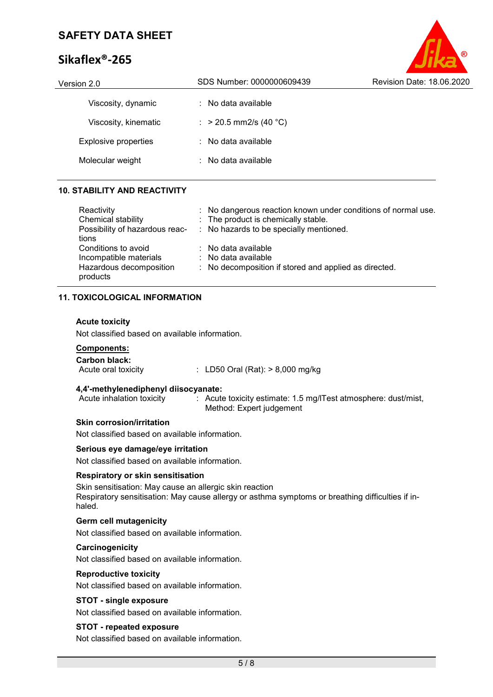# **Sikaflex®-265**



| Version 2.0          | SDS Number: 0000000609439      | Revision Date: 18.06.2020 |
|----------------------|--------------------------------|---------------------------|
| Viscosity, dynamic   | $\therefore$ No data available |                           |
| Viscosity, kinematic | : > 20.5 mm2/s (40 °C)         |                           |
| Explosive properties | $\therefore$ No data available |                           |
| Molecular weight     | $:$ No data available          |                           |
|                      |                                |                           |

#### **10. STABILITY AND REACTIVITY**

| Reactivity<br>Chemical stability<br>Possibility of hazardous reac-<br>tions          | : No dangerous reaction known under conditions of normal use.<br>: The product is chemically stable.<br>: No hazards to be specially mentioned. |
|--------------------------------------------------------------------------------------|-------------------------------------------------------------------------------------------------------------------------------------------------|
| Conditions to avoid<br>Incompatible materials<br>Hazardous decomposition<br>products | : No data available<br>$\therefore$ No data available<br>: No decomposition if stored and applied as directed.                                  |

#### **11. TOXICOLOGICAL INFORMATION**

#### **Acute toxicity**

Not classified based on available information.

# **Components:**

**Carbon black:**  $\therefore$  LD50 Oral (Rat): > 8,000 mg/kg

# **4,4'-methylenediphenyl diisocyanate:**

: Acute toxicity estimate: 1.5 mg/lTest atmosphere: dust/mist, Method: Expert judgement

#### **Skin corrosion/irritation**

Not classified based on available information.

### **Serious eye damage/eye irritation**

Not classified based on available information.

#### **Respiratory or skin sensitisation**

Skin sensitisation: May cause an allergic skin reaction Respiratory sensitisation: May cause allergy or asthma symptoms or breathing difficulties if inhaled.

### **Germ cell mutagenicity**

Not classified based on available information.

#### **Carcinogenicity**

Not classified based on available information.

#### **Reproductive toxicity**

Not classified based on available information.

#### **STOT - single exposure**

Not classified based on available information.

#### **STOT - repeated exposure**

Not classified based on available information.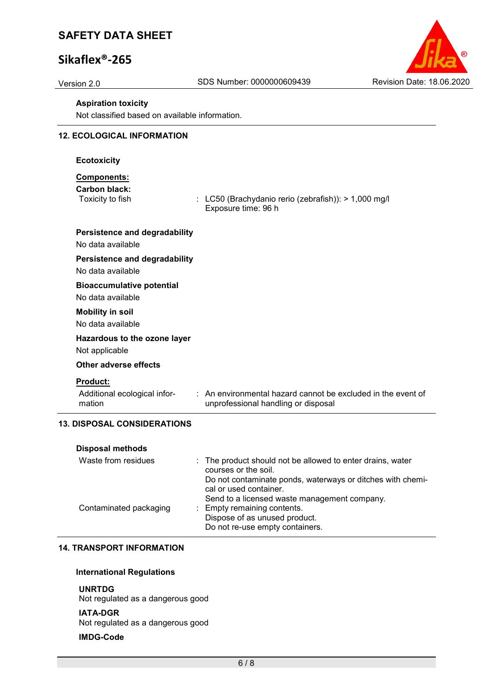# **Sikaflex®-265**



#### **Aspiration toxicity**

Not classified based on available information.

#### **12. ECOLOGICAL INFORMATION**

#### **Ecotoxicity**

### **Components:**

**Carbon black:**

 $\therefore$  LC50 (Brachydanio rerio (zebrafish)): > 1,000 mg/l Exposure time: 96 h

## **Persistence and degradability**

No data available

#### **Persistence and degradability**

No data available

#### **Bioaccumulative potential**

No data available

#### **Mobility in soil**

No data available

# **Hazardous to the ozone layer**

Not applicable

#### **Other adverse effects**

#### **Product:**

Additional ecological information

: An environmental hazard cannot be excluded in the event of unprofessional handling or disposal

### **13. DISPOSAL CONSIDERATIONS**

| <b>Disposal methods</b> |                                                                                      |
|-------------------------|--------------------------------------------------------------------------------------|
| Waste from residues     | : The product should not be allowed to enter drains, water<br>courses or the soil.   |
|                         | Do not contaminate ponds, waterways or ditches with chemi-<br>cal or used container. |
|                         | Send to a licensed waste management company.                                         |
| Contaminated packaging  | : Empty remaining contents.                                                          |
|                         | Dispose of as unused product.                                                        |
|                         | Do not re-use empty containers.                                                      |

### **14. TRANSPORT INFORMATION**

#### **International Regulations**

#### **UNRTDG**

Not regulated as a dangerous good

#### **IATA-DGR**

Not regulated as a dangerous good

#### **IMDG-Code**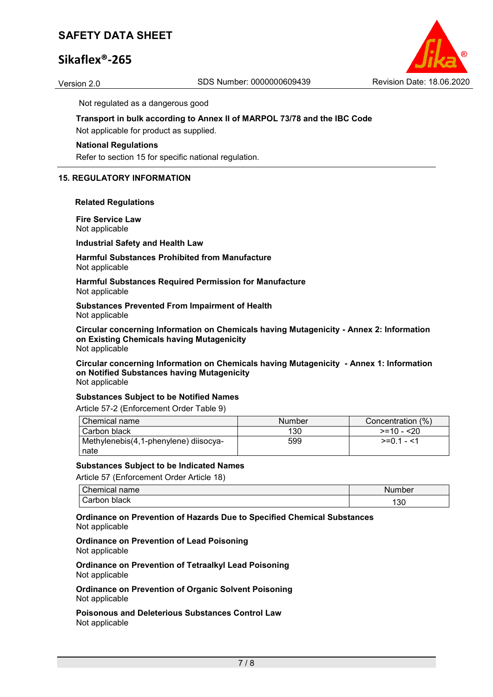# **Sikaflex®-265**



Not regulated as a dangerous good

# **Transport in bulk according to Annex II of MARPOL 73/78 and the IBC Code**

Not applicable for product as supplied.

#### **National Regulations**

Refer to section 15 for specific national regulation.

### **15. REGULATORY INFORMATION**

#### **Related Regulations**

**Fire Service Law** Not applicable

**Industrial Safety and Health Law**

#### **Harmful Substances Prohibited from Manufacture** Not applicable

**Harmful Substances Required Permission for Manufacture** Not applicable

**Substances Prevented From Impairment of Health** Not applicable

**Circular concerning Information on Chemicals having Mutagenicity - Annex 2: Information on Existing Chemicals having Mutagenicity** Not applicable

**Circular concerning Information on Chemicals having Mutagenicity - Annex 1: Information on Notified Substances having Mutagenicity** Not applicable

#### **Substances Subject to be Notified Names**

Article 57-2 (Enforcement Order Table 9)

| Chemical name                         | Number | Concentration (%) |
|---------------------------------------|--------|-------------------|
| l Carbon black                        | 130    | $>=10 - 20$       |
| Methylenebis(4,1-phenylene) diisocya- | 599    | $>=01 - 1$        |
| nate                                  |        |                   |

#### **Substances Subject to be Indicated Names**

Article 57 (Enforcement Order Article 18)

| Chemical in<br>name | Number |
|---------------------|--------|
| black<br>arbonب ت   | 30،    |

**Ordinance on Prevention of Hazards Due to Specified Chemical Substances** Not applicable

#### **Ordinance on Prevention of Lead Poisoning** Not applicable

**Ordinance on Prevention of Tetraalkyl Lead Poisoning** Not applicable

**Ordinance on Prevention of Organic Solvent Poisoning** Not applicable

**Poisonous and Deleterious Substances Control Law** Not applicable